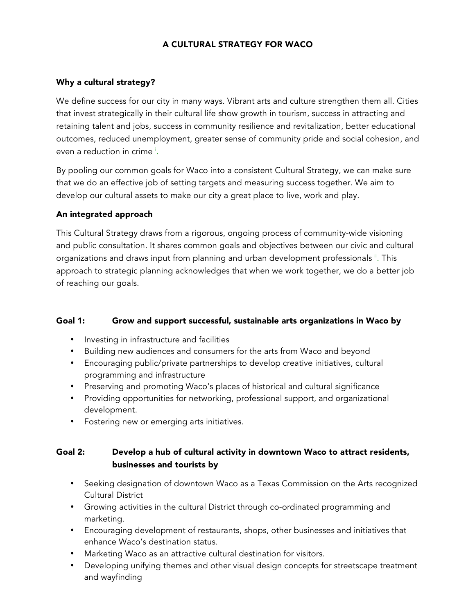## A CULTURAL STRATEGY FOR WACO

### Why a cultural strategy?

We define success for our city in many ways. Vibrant arts and culture strengthen them all. Cities that invest strategically in their cultural life show growth in tourism, success in attracting and retaining talent and jobs, success in community resilience and revitalization, better educational outcomes, reduced unemployment, greater sense of community pride and social cohesion, and even a reduction in crime <sup>i</sup>.

By pooling our common goals for Waco into a consistent Cultural Strategy, we can make sure that we do an effective job of setting targets and measuring success together. We aim to develop our cultural assets to make our city a great place to live, work and play.

### An integrated approach

This Cultural Strategy draws from a rigorous, ongoing process of community-wide visioning and public consultation. It shares common goals and objectives between our civic and cultural organizations and draws input from planning and urban development professionals <sup>ii</sup>. This approach to strategic planning acknowledges that when we work together, we do a better job of reaching our goals.

### Goal 1: Grow and support successful, sustainable arts organizations in Waco by

- Investing in infrastructure and facilities
- Building new audiences and consumers for the arts from Waco and beyond
- Encouraging public/private partnerships to develop creative initiatives, cultural programming and infrastructure
- Preserving and promoting Waco's places of historical and cultural significance
- Providing opportunities for networking, professional support, and organizational development.
- Fostering new or emerging arts initiatives.

## Goal 2: Develop a hub of cultural activity in downtown Waco to attract residents, businesses and tourists by

- Seeking designation of downtown Waco as a Texas Commission on the Arts recognized Cultural District
- Growing activities in the cultural District through co-ordinated programming and marketing.
- Encouraging development of restaurants, shops, other businesses and initiatives that enhance Waco's destination status.
- Marketing Waco as an attractive cultural destination for visitors.
- Developing unifying themes and other visual design concepts for streetscape treatment and wayfinding